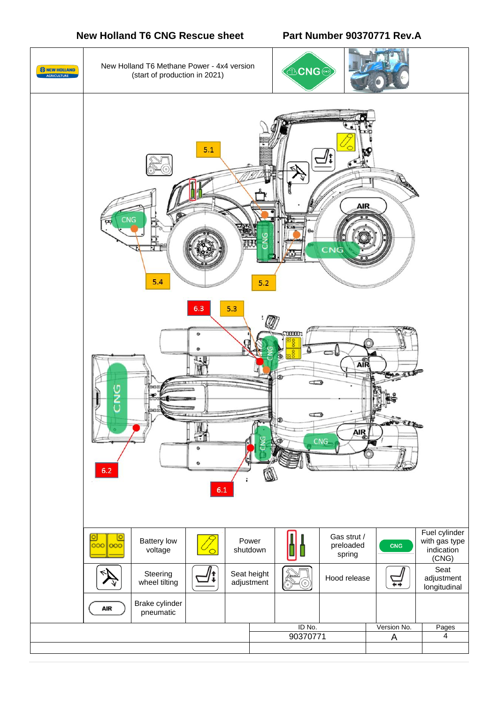## **New Holland T6 CNG Rescue sheet Part Number 90370771 Rev.A**

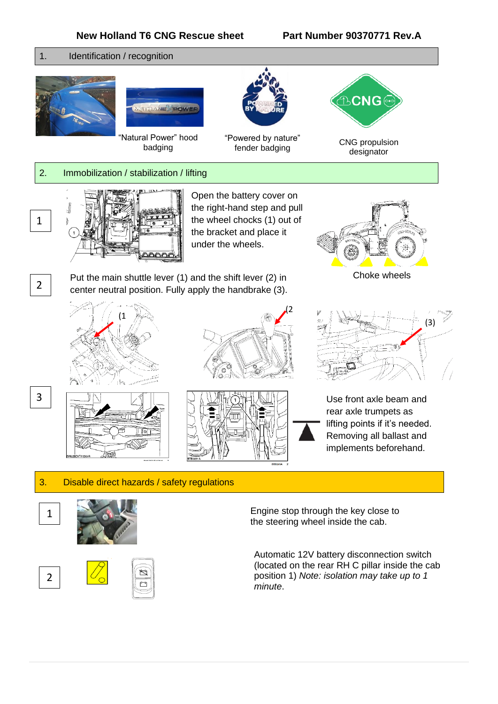



### 3. Disable direct hazards / safety regulations





Engine stop through the key close to the steering wheel inside the cab.

Automatic 12V battery disconnection switch (located on the rear RH C pillar inside the cab position 1) *Note: isolation may take up to 1 minute*.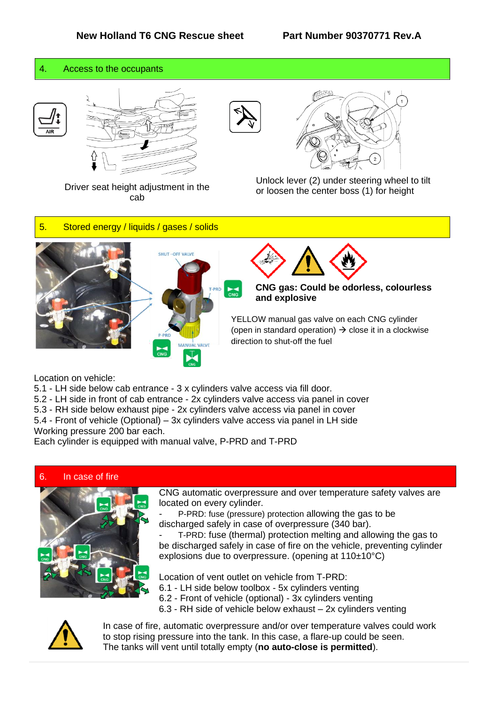#### 4. Access to the occupants









Driver seat height adjustment in the cab

Unlock lever (2) under steering wheel to tilt or loosen the center boss (1) for height

### 5. Stored energy / liquids / gases / solids







**CNG gas: Could be odorless, colourless and explosive**

(open in standard operation)  $\rightarrow$  close it in a clockwise direction to shut-off the fuel YELLOW manual gas valve on each CNG cylinder

Location on vehicle:

- 5.1 LH side below cab entrance 3 x cylinders valve access via fill door.
- 5.2 LH side in front of cab entrance 2x cylinders valve access via panel in cover
- 5.3 RH side below exhaust pipe 2x cylinders valve access via panel in cover

5.4 - Front of vehicle (Optional) – 3x cylinders valve access via panel in LH side Working pressure 200 bar each.

Each cylinder is equipped with manual valve, P-PRD and T-PRD

#### 6. In case of fire



CNG automatic overpressure and over temperature safety valves are located on every cylinder.

P-PRD: fuse (pressure) protection allowing the gas to be discharged safely in case of overpressure (340 bar).

- T-PRD: fuse (thermal) protection melting and allowing the gas to be discharged safely in case of fire on the vehicle, preventing cylinder explosions due to overpressure. (opening at 110±10°C)

Location of vent outlet on vehicle from T-PRD:

- 6.1 LH side below toolbox 5x cylinders venting
- 6.2 Front of vehicle (optional) 3x cylinders venting
- 6.3 RH side of vehicle below exhaust 2x cylinders venting



In case of fire, automatic overpressure and/or over temperature valves could work to stop rising pressure into the tank. In this case, a flare-up could be seen. The tanks will vent until totally empty (**no auto-close is permitted**).